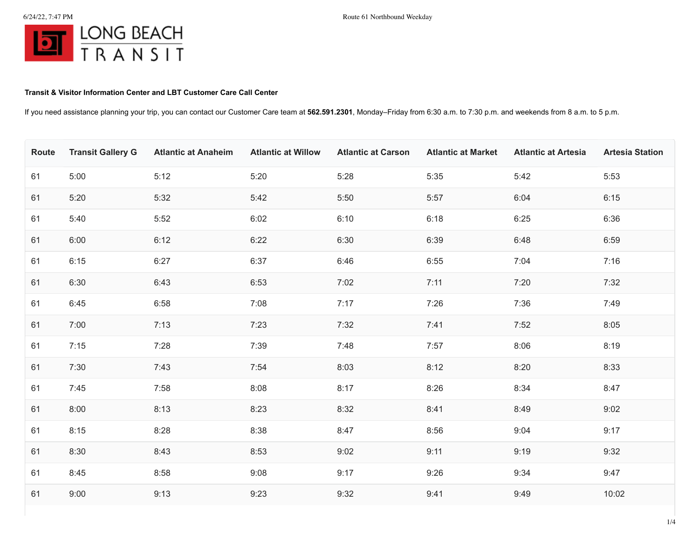## **Transit & Visitor Information Center and LBT Customer Care Call Center**

If you need assistance planning your trip, you can contact our Customer Care team at **562.591.2301**, Monday–Friday from 6:30 a.m. to 7:30 p.m. and weekends from 8 a.m. to 5 p.m.

| Route | <b>Transit Gallery G</b> | <b>Atlantic at Anaheim</b> | <b>Atlantic at Willow</b> | <b>Atlantic at Carson</b> | <b>Atlantic at Market</b> | <b>Atlantic at Artesia</b> | <b>Artesia Station</b> |
|-------|--------------------------|----------------------------|---------------------------|---------------------------|---------------------------|----------------------------|------------------------|
| 61    | 5:00                     | 5:12                       | 5:20                      | 5:28                      | 5:35                      | 5:42                       | 5:53                   |
| 61    | 5:20                     | 5:32                       | 5:42                      | 5:50                      | 5:57                      | 6:04                       | 6:15                   |
| 61    | 5:40                     | 5:52                       | 6:02                      | 6:10                      | 6:18                      | 6:25                       | 6:36                   |
| 61    | 6:00                     | 6:12                       | 6:22                      | 6:30                      | 6:39                      | 6:48                       | 6:59                   |
| 61    | 6:15                     | 6:27                       | 6:37                      | 6:46                      | 6:55                      | 7:04                       | 7:16                   |
| 61    | 6:30                     | 6:43                       | 6:53                      | 7:02                      | 7:11                      | 7:20                       | 7:32                   |
| 61    | 6:45                     | 6:58                       | 7:08                      | 7:17                      | 7:26                      | 7:36                       | 7:49                   |
| 61    | 7:00                     | 7:13                       | 7:23                      | 7:32                      | 7:41                      | 7:52                       | 8:05                   |
| 61    | 7:15                     | 7:28                       | 7:39                      | 7:48                      | 7:57                      | 8:06                       | 8:19                   |
| 61    | 7:30                     | 7:43                       | 7:54                      | 8:03                      | 8:12                      | 8:20                       | 8:33                   |
| 61    | 7:45                     | 7:58                       | 8:08                      | 8:17                      | 8:26                      | 8:34                       | 8:47                   |
| 61    | 8:00                     | 8:13                       | 8:23                      | 8:32                      | 8:41                      | 8:49                       | 9:02                   |
| 61    | 8:15                     | 8:28                       | 8:38                      | 8:47                      | 8:56                      | 9:04                       | 9:17                   |
| 61    | 8:30                     | 8:43                       | 8:53                      | 9:02                      | 9:11                      | 9:19                       | 9:32                   |
| 61    | 8:45                     | 8:58                       | 9:08                      | 9:17                      | 9:26                      | 9:34                       | 9:47                   |
| 61    | 9:00                     | 9:13                       | 9:23                      | 9:32                      | 9:41                      | 9:49                       | 10:02                  |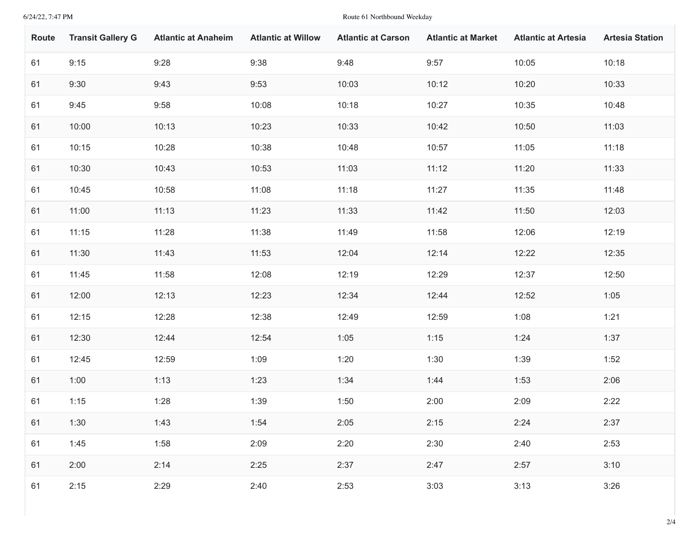6/24/22, 7:47 PM Route 61 Northbound Weekday

| <b>Route</b> | <b>Transit Gallery G</b> | <b>Atlantic at Anaheim</b> | <b>Atlantic at Willow</b> | <b>Atlantic at Carson</b> | <b>Atlantic at Market</b> | <b>Atlantic at Artesia</b> | <b>Artesia Station</b> |
|--------------|--------------------------|----------------------------|---------------------------|---------------------------|---------------------------|----------------------------|------------------------|
| 61           | 9:15                     | 9:28                       | 9:38                      | 9:48                      | 9:57                      | 10:05                      | 10:18                  |
| 61           | 9:30                     | 9:43                       | 9:53                      | 10:03                     | 10:12                     | 10:20                      | 10:33                  |
| 61           | 9:45                     | 9:58                       | 10:08                     | 10:18                     | 10:27                     | 10:35                      | 10:48                  |
| 61           | 10:00                    | 10:13                      | 10:23                     | 10:33                     | 10:42                     | 10:50                      | 11:03                  |
| 61           | 10:15                    | 10:28                      | 10:38                     | 10:48                     | 10:57                     | 11:05                      | 11:18                  |
| 61           | 10:30                    | 10:43                      | 10:53                     | 11:03                     | 11:12                     | 11:20                      | 11:33                  |
| 61           | 10:45                    | 10:58                      | 11:08                     | 11:18                     | 11:27                     | 11:35                      | 11:48                  |
| 61           | 11:00                    | 11:13                      | 11:23                     | 11:33                     | 11:42                     | 11:50                      | 12:03                  |
| 61           | 11:15                    | 11:28                      | 11:38                     | 11:49                     | 11:58                     | 12:06                      | 12:19                  |
| 61           | 11:30                    | 11:43                      | 11:53                     | 12:04                     | 12:14                     | 12:22                      | 12:35                  |
| 61           | 11:45                    | 11:58                      | 12:08                     | 12:19                     | 12:29                     | 12:37                      | 12:50                  |
| 61           | 12:00                    | 12:13                      | 12:23                     | 12:34                     | 12:44                     | 12:52                      | 1:05                   |
| 61           | 12:15                    | 12:28                      | 12:38                     | 12:49                     | 12:59                     | 1:08                       | 1:21                   |
| 61           | 12:30                    | 12:44                      | 12:54                     | 1:05                      | 1:15                      | 1:24                       | 1:37                   |
| 61           | 12:45                    | 12:59                      | 1:09                      | 1:20                      | 1:30                      | 1:39                       | 1:52                   |
| 61           | 1:00                     | 1:13                       | 1:23                      | 1:34                      | 1:44                      | 1:53                       | 2:06                   |
| 61           | 1:15                     | 1:28                       | 1:39                      | 1:50                      | 2:00                      | 2:09                       | 2:22                   |
| 61           | 1:30                     | 1:43                       | 1:54                      | 2:05                      | 2:15                      | 2:24                       | 2:37                   |
| 61           | 1:45                     | 1:58                       | 2:09                      | 2:20                      | 2:30                      | 2:40                       | 2:53                   |
| 61           | 2:00                     | 2:14                       | 2:25                      | 2:37                      | 2:47                      | 2:57                       | 3:10                   |
| 61           | 2:15                     | 2:29                       | 2:40                      | 2:53                      | 3:03                      | 3:13                       | 3:26                   |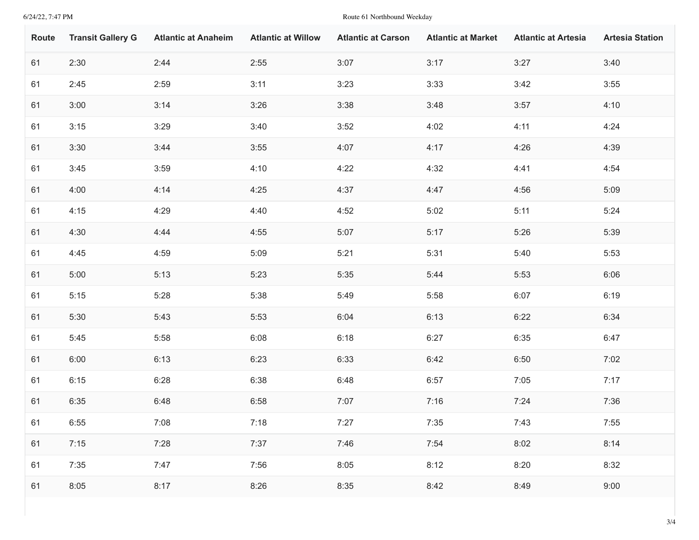6/24/22, 7:47 PM Route 61 Northbound Weekday

| Route | <b>Transit Gallery G</b> | <b>Atlantic at Anaheim</b> | <b>Atlantic at Willow</b> | <b>Atlantic at Carson</b> | <b>Atlantic at Market</b> | <b>Atlantic at Artesia</b> | <b>Artesia Station</b> |
|-------|--------------------------|----------------------------|---------------------------|---------------------------|---------------------------|----------------------------|------------------------|
| 61    | 2:30                     | 2:44                       | 2:55                      | 3:07                      | 3:17                      | 3:27                       | 3:40                   |
| 61    | 2:45                     | 2:59                       | 3:11                      | 3:23                      | 3:33                      | 3:42                       | 3:55                   |
| 61    | 3:00                     | 3:14                       | 3:26                      | 3:38                      | 3:48                      | 3:57                       | 4:10                   |
| 61    | 3:15                     | 3:29                       | 3:40                      | 3:52                      | 4:02                      | 4:11                       | 4:24                   |
| 61    | 3:30                     | 3:44                       | 3:55                      | 4:07                      | 4:17                      | 4:26                       | 4:39                   |
| 61    | 3:45                     | 3:59                       | 4:10                      | 4:22                      | 4:32                      | 4:41                       | 4:54                   |
| 61    | 4:00                     | 4:14                       | 4:25                      | 4:37                      | 4:47                      | 4:56                       | 5:09                   |
| 61    | 4:15                     | 4:29                       | 4:40                      | 4:52                      | 5:02                      | 5:11                       | 5:24                   |
| 61    | 4:30                     | 4:44                       | 4:55                      | 5:07                      | 5:17                      | 5:26                       | 5:39                   |
| 61    | 4:45                     | 4:59                       | 5:09                      | 5:21                      | 5:31                      | 5:40                       | 5:53                   |
| 61    | 5:00                     | 5:13                       | 5:23                      | 5:35                      | 5:44                      | 5:53                       | 6:06                   |
| 61    | 5:15                     | 5:28                       | 5:38                      | 5:49                      | 5:58                      | 6:07                       | 6:19                   |
| 61    | 5:30                     | 5:43                       | 5:53                      | 6:04                      | 6:13                      | 6:22                       | 6:34                   |
| 61    | 5:45                     | 5:58                       | 6:08                      | 6:18                      | 6:27                      | 6:35                       | 6:47                   |
| 61    | 6:00                     | 6:13                       | 6:23                      | 6:33                      | 6:42                      | 6:50                       | 7:02                   |
| 61    | 6:15                     | 6:28                       | 6:38                      | 6:48                      | 6:57                      | 7:05                       | 7:17                   |
| 61    | 6:35                     | 6:48                       | 6:58                      | 7:07                      | 7:16                      | 7:24                       | 7:36                   |
| 61    | 6:55                     | 7:08                       | 7:18                      | 7:27                      | 7:35                      | 7:43                       | 7:55                   |
| 61    | 7:15                     | 7:28                       | 7:37                      | 7:46                      | 7:54                      | 8:02                       | 8:14                   |
| 61    | 7:35                     | 7:47                       | 7:56                      | 8:05                      | 8:12                      | 8:20                       | 8:32                   |
| 61    | 8:05                     | 8:17                       | 8:26                      | 8:35                      | 8:42                      | 8:49                       | 9:00                   |